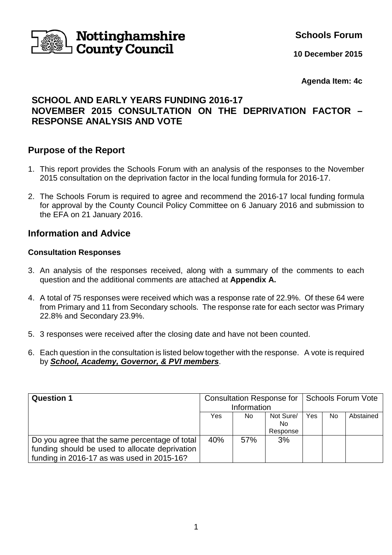

**Schools Forum**

**10 December 2015**

**Agenda Item: 4c**

# **SCHOOL AND EARLY YEARS FUNDING 2016-17 NOVEMBER 2015 CONSULTATION ON THE DEPRIVATION FACTOR – RESPONSE ANALYSIS AND VOTE**

# **Purpose of the Report**

- 1. This report provides the Schools Forum with an analysis of the responses to the November 2015 consultation on the deprivation factor in the local funding formula for 2016-17.
- 2. The Schools Forum is required to agree and recommend the 2016-17 local funding formula for approval by the County Council Policy Committee on 6 January 2016 and submission to the EFA on 21 January 2016.

## **Information and Advice**

### **Consultation Responses**

- 3. An analysis of the responses received, along with a summary of the comments to each question and the additional comments are attached at **Appendix A.**
- 4. A total of 75 responses were received which was a response rate of 22.9%. Of these 64 were from Primary and 11 from Secondary schools. The response rate for each sector was Primary 22.8% and Secondary 23.9%.
- 5. 3 responses were received after the closing date and have not been counted.
- 6. Each question in the consultation is listed below together with the response. A vote is required by **School, Academy, Governor, & PVI members**.

| <b>Question 1</b>                              | <b>Consultation Response for</b> |     | Schools Forum Vote |     |    |           |
|------------------------------------------------|----------------------------------|-----|--------------------|-----|----|-----------|
|                                                | Information                      |     |                    |     |    |           |
|                                                | Yes                              | No. | Not Sure/          | Yes | No | Abstained |
|                                                |                                  |     | No.                |     |    |           |
|                                                |                                  |     | Response           |     |    |           |
| Do you agree that the same percentage of total | 40%                              | 57% | 3%                 |     |    |           |
| funding should be used to allocate deprivation |                                  |     |                    |     |    |           |
| funding in 2016-17 as was used in 2015-16?     |                                  |     |                    |     |    |           |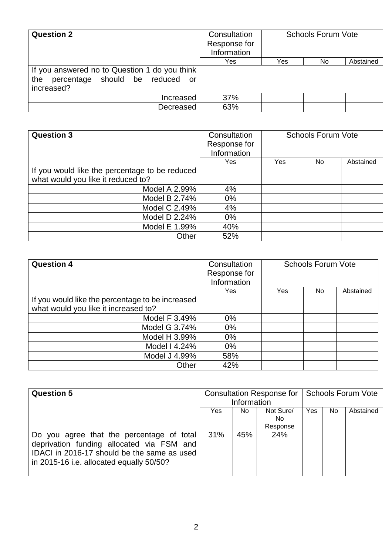| <b>Question 2</b>                                                                                  | Consultation<br>Response for<br>Information | <b>Schools Forum Vote</b> |     |           |
|----------------------------------------------------------------------------------------------------|---------------------------------------------|---------------------------|-----|-----------|
|                                                                                                    | Yes                                         | Yes                       | No. | Abstained |
| If you answered no to Question 1 do you think<br>the percentage should be reduced or<br>increased? |                                             |                           |     |           |
| Increased                                                                                          | 37%                                         |                           |     |           |
| Decreased                                                                                          | 63%                                         |                           |     |           |

| <b>Question 3</b>                              | Consultation<br>Response for<br>Information | <b>Schools Forum Vote</b> |     |           |
|------------------------------------------------|---------------------------------------------|---------------------------|-----|-----------|
|                                                | Yes                                         | Yes                       | No. | Abstained |
| If you would like the percentage to be reduced |                                             |                           |     |           |
| what would you like it reduced to?             |                                             |                           |     |           |
| Model A 2.99%                                  | 4%                                          |                           |     |           |
| Model B 2.74%                                  | 0%                                          |                           |     |           |
| Model C 2.49%                                  | 4%                                          |                           |     |           |
| Model D 2.24%                                  | 0%                                          |                           |     |           |
| Model E 1.99%                                  | 40%                                         |                           |     |           |
| Other                                          | 52%                                         |                           |     |           |

| <b>Question 4</b>                                | Consultation<br>Response for<br>Information | <b>Schools Forum Vote</b> |     |           |
|--------------------------------------------------|---------------------------------------------|---------------------------|-----|-----------|
|                                                  | <b>Yes</b>                                  | Yes                       | No. | Abstained |
| If you would like the percentage to be increased |                                             |                           |     |           |
| what would you like it increased to?             |                                             |                           |     |           |
| Model F 3.49%                                    | $0\%$                                       |                           |     |           |
| Model G 3.74%                                    | $0\%$                                       |                           |     |           |
| Model H 3.99%                                    | $0\%$                                       |                           |     |           |
| Model I 4.24%                                    | $0\%$                                       |                           |     |           |
| Model J 4.99%                                    | 58%                                         |                           |     |           |
| Other                                            | 42%                                         |                           |     |           |

| <b>Question 5</b>                                                                                                                                                                 | Consultation Response for   Schools Forum Vote<br>Information |     |                              |            |     |           |
|-----------------------------------------------------------------------------------------------------------------------------------------------------------------------------------|---------------------------------------------------------------|-----|------------------------------|------------|-----|-----------|
|                                                                                                                                                                                   | Yes                                                           | No. | Not Sure/<br>No.<br>Response | <b>Yes</b> | No. | Abstained |
| Do you agree that the percentage of total<br>deprivation funding allocated via FSM and<br>IDACI in 2016-17 should be the same as used<br>in 2015-16 i.e. allocated equally 50/50? | 31%                                                           | 45% | 24%                          |            |     |           |